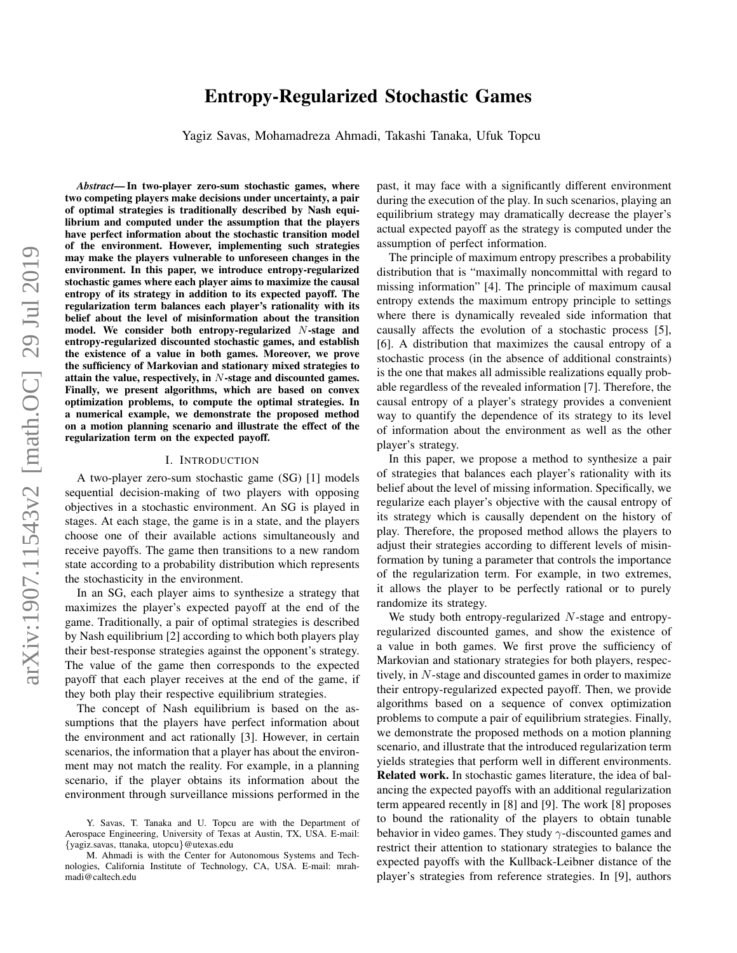# arXiv:1907.11543v2 [math.OC] 29 Jul 2019 arXiv:1907.11543v2 [math.OC] 29 Jul 2019

# Entropy-Regularized Stochastic Games

Yagiz Savas, Mohamadreza Ahmadi, Takashi Tanaka, Ufuk Topcu

*Abstract*— In two-player zero-sum stochastic games, where two competing players make decisions under uncertainty, a pair of optimal strategies is traditionally described by Nash equilibrium and computed under the assumption that the players have perfect information about the stochastic transition model of the environment. However, implementing such strategies may make the players vulnerable to unforeseen changes in the environment. In this paper, we introduce entropy-regularized stochastic games where each player aims to maximize the causal entropy of its strategy in addition to its expected payoff. The regularization term balances each player's rationality with its belief about the level of misinformation about the transition model. We consider both entropy-regularized N-stage and entropy-regularized discounted stochastic games, and establish the existence of a value in both games. Moreover, we prove the sufficiency of Markovian and stationary mixed strategies to attain the value, respectively, in N-stage and discounted games. Finally, we present algorithms, which are based on convex optimization problems, to compute the optimal strategies. In a numerical example, we demonstrate the proposed method on a motion planning scenario and illustrate the effect of the regularization term on the expected payoff.

### I. INTRODUCTION

A two-player zero-sum stochastic game (SG) [1] models sequential decision-making of two players with opposing objectives in a stochastic environment. An SG is played in stages. At each stage, the game is in a state, and the players choose one of their available actions simultaneously and receive payoffs. The game then transitions to a new random state according to a probability distribution which represents the stochasticity in the environment.

In an SG, each player aims to synthesize a strategy that maximizes the player's expected payoff at the end of the game. Traditionally, a pair of optimal strategies is described by Nash equilibrium [2] according to which both players play their best-response strategies against the opponent's strategy. The value of the game then corresponds to the expected payoff that each player receives at the end of the game, if they both play their respective equilibrium strategies.

The concept of Nash equilibrium is based on the assumptions that the players have perfect information about the environment and act rationally [3]. However, in certain scenarios, the information that a player has about the environment may not match the reality. For example, in a planning scenario, if the player obtains its information about the environment through surveillance missions performed in the past, it may face with a significantly different environment during the execution of the play. In such scenarios, playing an equilibrium strategy may dramatically decrease the player's actual expected payoff as the strategy is computed under the assumption of perfect information.

The principle of maximum entropy prescribes a probability distribution that is "maximally noncommittal with regard to missing information" [4]. The principle of maximum causal entropy extends the maximum entropy principle to settings where there is dynamically revealed side information that causally affects the evolution of a stochastic process [5], [6]. A distribution that maximizes the causal entropy of a stochastic process (in the absence of additional constraints) is the one that makes all admissible realizations equally probable regardless of the revealed information [7]. Therefore, the causal entropy of a player's strategy provides a convenient way to quantify the dependence of its strategy to its level of information about the environment as well as the other player's strategy.

In this paper, we propose a method to synthesize a pair of strategies that balances each player's rationality with its belief about the level of missing information. Specifically, we regularize each player's objective with the causal entropy of its strategy which is causally dependent on the history of play. Therefore, the proposed method allows the players to adjust their strategies according to different levels of misinformation by tuning a parameter that controls the importance of the regularization term. For example, in two extremes, it allows the player to be perfectly rational or to purely randomize its strategy.

We study both entropy-regularized N-stage and entropyregularized discounted games, and show the existence of a value in both games. We first prove the sufficiency of Markovian and stationary strategies for both players, respectively, in N-stage and discounted games in order to maximize their entropy-regularized expected payoff. Then, we provide algorithms based on a sequence of convex optimization problems to compute a pair of equilibrium strategies. Finally, we demonstrate the proposed methods on a motion planning scenario, and illustrate that the introduced regularization term yields strategies that perform well in different environments. Related work. In stochastic games literature, the idea of balancing the expected payoffs with an additional regularization term appeared recently in [8] and [9]. The work [8] proposes to bound the rationality of the players to obtain tunable behavior in video games. They study  $\gamma$ -discounted games and restrict their attention to stationary strategies to balance the expected payoffs with the Kullback-Leibner distance of the player's strategies from reference strategies. In [9], authors

Y. Savas, T. Tanaka and U. Topcu are with the Department of Aerospace Engineering, University of Texas at Austin, TX, USA. E-mail: {yagiz.savas, ttanaka, utopcu}@utexas.edu

M. Ahmadi is with the Center for Autonomous Systems and Technologies, California Institute of Technology, CA, USA. E-mail: mrahmadi@caltech.edu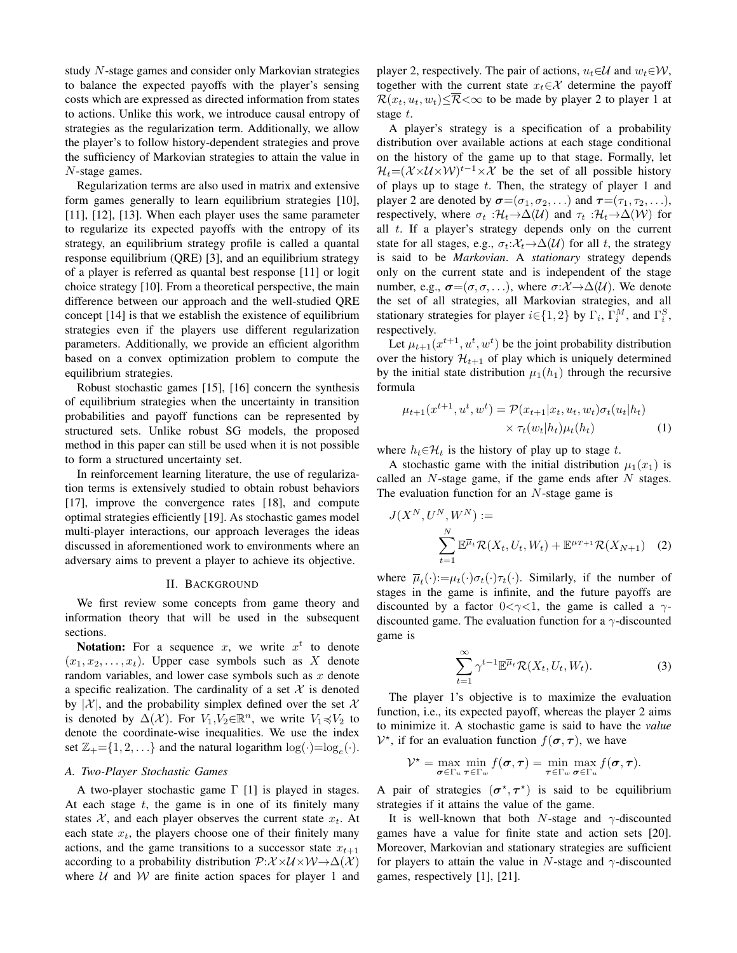study N-stage games and consider only Markovian strategies to balance the expected payoffs with the player's sensing costs which are expressed as directed information from states to actions. Unlike this work, we introduce causal entropy of strategies as the regularization term. Additionally, we allow the player's to follow history-dependent strategies and prove the sufficiency of Markovian strategies to attain the value in N-stage games.

Regularization terms are also used in matrix and extensive form games generally to learn equilibrium strategies [10], [11], [12], [13]. When each player uses the same parameter to regularize its expected payoffs with the entropy of its strategy, an equilibrium strategy profile is called a quantal response equilibrium (QRE) [3], and an equilibrium strategy of a player is referred as quantal best response [11] or logit choice strategy [10]. From a theoretical perspective, the main difference between our approach and the well-studied QRE concept [14] is that we establish the existence of equilibrium strategies even if the players use different regularization parameters. Additionally, we provide an efficient algorithm based on a convex optimization problem to compute the equilibrium strategies.

Robust stochastic games [15], [16] concern the synthesis of equilibrium strategies when the uncertainty in transition probabilities and payoff functions can be represented by structured sets. Unlike robust SG models, the proposed method in this paper can still be used when it is not possible to form a structured uncertainty set.

In reinforcement learning literature, the use of regularization terms is extensively studied to obtain robust behaviors [17], improve the convergence rates [18], and compute optimal strategies efficiently [19]. As stochastic games model multi-player interactions, our approach leverages the ideas discussed in aforementioned work to environments where an adversary aims to prevent a player to achieve its objective.

# II. BACKGROUND

We first review some concepts from game theory and information theory that will be used in the subsequent sections.

**Notation:** For a sequence x, we write  $x^t$  to denote  $(x_1, x_2, \ldots, x_t)$ . Upper case symbols such as X denote random variables, and lower case symbols such as  $x$  denote a specific realization. The cardinality of a set  $X$  is denoted by  $|\mathcal{X}|$ , and the probability simplex defined over the set X is denoted by  $\Delta(\mathcal{X})$ . For  $V_1, V_2 \in \mathbb{R}^n$ , we write  $V_1 \preccurlyeq V_2$  to denote the coordinate-wise inequalities. We use the index set  $\mathbb{Z}_+ = \{1, 2, \ldots\}$  and the natural logarithm  $\log(\cdot) = \log_e(\cdot)$ .

# *A. Two-Player Stochastic Games*

A two-player stochastic game  $\Gamma$  [1] is played in stages. At each stage  $t$ , the game is in one of its finitely many states X, and each player observes the current state  $x_t$ . At each state  $x_t$ , the players choose one of their finitely many actions, and the game transitions to a successor state  $x_{t+1}$ according to a probability distribution  $\mathcal{P}: \mathcal{X} \times \mathcal{U} \times \mathcal{W} \rightarrow \Delta(\mathcal{X})$ where  $U$  and  $W$  are finite action spaces for player 1 and player 2, respectively. The pair of actions,  $u_t \in \mathcal{U}$  and  $w_t \in \mathcal{W}$ , together with the current state  $x_t \in \mathcal{X}$  determine the payoff  $\mathcal{R}(x_t, u_t, w_t) \leq \overline{\mathcal{R}} < \infty$  to be made by player 2 to player 1 at stage t.

A player's strategy is a specification of a probability distribution over available actions at each stage conditional on the history of the game up to that stage. Formally, let  $\mathcal{H}_t = (\mathcal{X} \times \mathcal{U} \times \mathcal{W})^{t-1} \times \mathcal{X}$  be the set of all possible history of plays up to stage  $t$ . Then, the strategy of player 1 and player 2 are denoted by  $\sigma = (\sigma_1, \sigma_2, \ldots)$  and  $\tau = (\tau_1, \tau_2, \ldots)$ , respectively, where  $\sigma_t : \mathcal{H}_t \to \Delta(\mathcal{U})$  and  $\tau_t : \mathcal{H}_t \to \Delta(\mathcal{W})$  for all t. If a player's strategy depends only on the current state for all stages, e.g.,  $\sigma_t: \mathcal{X}_t \to \Delta(\mathcal{U})$  for all t, the strategy is said to be *Markovian*. A *stationary* strategy depends only on the current state and is independent of the stage number, e.g.,  $\sigma = (\sigma, \sigma, \ldots)$ , where  $\sigma: \mathcal{X} \to \Delta(\mathcal{U})$ . We denote the set of all strategies, all Markovian strategies, and all stationary strategies for player  $i \in \{1, 2\}$  by  $\Gamma_i$ ,  $\Gamma_i^M$ , and  $\Gamma_i^S$ , respectively.

Let  $\mu_{t+1}(x^{t+1}, u^t, w^t)$  be the joint probability distribution over the history  $\mathcal{H}_{t+1}$  of play which is uniquely determined by the initial state distribution  $\mu_1(h_1)$  through the recursive formula

$$
\mu_{t+1}(x^{t+1}, u^t, w^t) = \mathcal{P}(x_{t+1}|x_t, u_t, w_t)\sigma_t(u_t|h_t)
$$
  
 
$$
\times \tau_t(w_t|h_t)\mu_t(h_t)
$$
 (1)

where  $h_t \in \mathcal{H}_t$  is the history of play up to stage t.

A stochastic game with the initial distribution  $\mu_1(x_1)$  is called an  $N$ -stage game, if the game ends after  $N$  stages. The evaluation function for an  $N$ -stage game is

$$
J(X^{N}, U^{N}, W^{N}) :=
$$
  

$$
\sum_{t=1}^{N} \mathbb{E}^{\overline{\mu}_{t}} \mathcal{R}(X_{t}, U_{t}, W_{t}) + \mathbb{E}^{\mu_{T+1}} \mathcal{R}(X_{N+1})
$$
 (2)

where  $\overline{\mu}_t(\cdot):=\mu_t(\cdot)\sigma_t(\cdot)\tau_t(\cdot)$ . Similarly, if the number of stages in the game is infinite, and the future payoffs are discounted by a factor  $0 < \gamma < 1$ , the game is called a  $\gamma$ discounted game. The evaluation function for a  $\gamma$ -discounted game is

<span id="page-1-0"></span>
$$
\sum_{t=1}^{\infty} \gamma^{t-1} \mathbb{E}^{\overline{\mu}_t} \mathcal{R}(X_t, U_t, W_t).
$$
 (3)

The player 1's objective is to maximize the evaluation function, i.e., its expected payoff, whereas the player 2 aims to minimize it. A stochastic game is said to have the *value*  $V^*$ , if for an evaluation function  $f(\sigma, \tau)$ , we have

$$
\mathcal{V}^{\star} = \max_{\boldsymbol{\sigma} \in \Gamma_u} \min_{\boldsymbol{\tau} \in \Gamma_w} f(\boldsymbol{\sigma}, \boldsymbol{\tau}) = \min_{\boldsymbol{\tau} \in \Gamma_w} \max_{\boldsymbol{\sigma} \in \Gamma_u} f(\boldsymbol{\sigma}, \boldsymbol{\tau}).
$$

A pair of strategies  $(\sigma^*, \tau^*)$  is said to be equilibrium strategies if it attains the value of the game.

It is well-known that both N-stage and  $\gamma$ -discounted games have a value for finite state and action sets [20]. Moreover, Markovian and stationary strategies are sufficient for players to attain the value in N-stage and  $\gamma$ -discounted games, respectively [1], [21].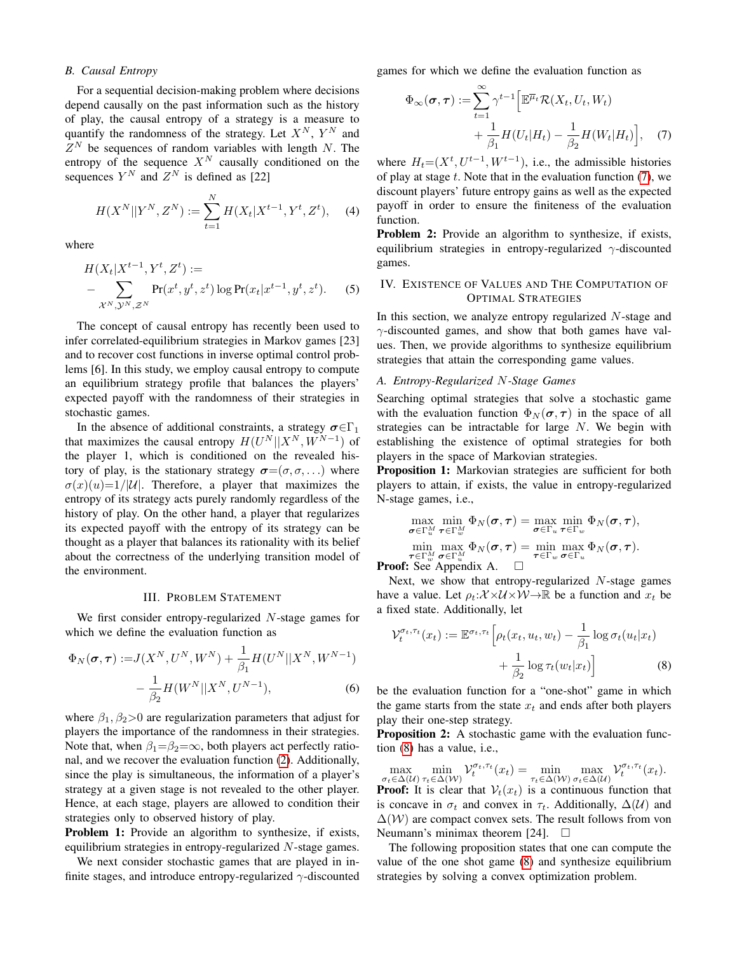# *B. Causal Entropy*

For a sequential decision-making problem where decisions depend causally on the past information such as the history of play, the causal entropy of a strategy is a measure to quantify the randomness of the strategy. Let  $X^N$ ,  $Y^N$  and  $Z^N$  be sequences of random variables with length N. The entropy of the sequence  $X^N$  causally conditioned on the sequences  $Y^N$  and  $Z^N$  is defined as [22]

$$
H(X^N||Y^N, Z^N) := \sum_{t=1}^N H(X_t|X^{t-1}, Y^t, Z^t), \quad (4)
$$

where

$$
H(X_t|X^{t-1}, Y^t, Z^t) :=
$$
  
 
$$
- \sum_{X^N, \mathcal{Y}^N, Z^N} \Pr(x^t, y^t, z^t) \log \Pr(x_t|x^{t-1}, y^t, z^t).
$$
 (5)

The concept of causal entropy has recently been used to infer correlated-equilibrium strategies in Markov games [23] and to recover cost functions in inverse optimal control problems [6]. In this study, we employ causal entropy to compute an equilibrium strategy profile that balances the players' expected payoff with the randomness of their strategies in stochastic games.

In the absence of additional constraints, a strategy  $\sigma \in \Gamma_1$ that maximizes the causal entropy  $H(U^N||X^N, W^{N-1})$  of the player 1, which is conditioned on the revealed history of play, is the stationary strategy  $\sigma = (\sigma, \sigma, ...)$  where  $\sigma(x)(u)=1/|U|$ . Therefore, a player that maximizes the entropy of its strategy acts purely randomly regardless of the history of play. On the other hand, a player that regularizes its expected payoff with the entropy of its strategy can be thought as a player that balances its rationality with its belief about the correctness of the underlying transition model of the environment.

# III. PROBLEM STATEMENT

We first consider entropy-regularized N-stage games for which we define the evaluation function as

$$
\Phi_N(\sigma, \tau) := J(X^N, U^N, W^N) + \frac{1}{\beta_1} H(U^N || X^N, W^{N-1}) - \frac{1}{\beta_2} H(W^N || X^N, U^{N-1}),
$$
\n(6)

where  $\beta_1, \beta_2 > 0$  are regularization parameters that adjust for players the importance of the randomness in their strategies. Note that, when  $\beta_1 = \beta_2 = \infty$ , both players act perfectly rational, and we recover the evaluation function [\(2\)](#page-1-0). Additionally, since the play is simultaneous, the information of a player's strategy at a given stage is not revealed to the other player. Hence, at each stage, players are allowed to condition their strategies only to observed history of play.

Problem 1: Provide an algorithm to synthesize, if exists, equilibrium strategies in entropy-regularized  $N$ -stage games.

We next consider stochastic games that are played in infinite stages, and introduce entropy-regularized  $\gamma$ -discounted games for which we define the evaluation function as

<span id="page-2-0"></span>
$$
\Phi_{\infty}(\boldsymbol{\sigma}, \boldsymbol{\tau}) := \sum_{t=1}^{\infty} \gamma^{t-1} \Big[ \mathbb{E}^{\overline{\mu}_t} \mathcal{R}(X_t, U_t, W_t) + \frac{1}{\beta_1} H(U_t | H_t) - \frac{1}{\beta_2} H(W_t | H_t) \Big], \quad (7)
$$

where  $H_t=(X^t, U^{t-1}, W^{t-1})$ , i.e., the admissible histories of play at stage  $t$ . Note that in the evaluation function  $(7)$ , we discount players' future entropy gains as well as the expected payoff in order to ensure the finiteness of the evaluation function.

**Problem 2:** Provide an algorithm to synthesize, if exists, equilibrium strategies in entropy-regularized  $\gamma$ -discounted games.

# IV. EXISTENCE OF VALUES AND THE COMPUTATION OF OPTIMAL STRATEGIES

In this section, we analyze entropy regularized  $N$ -stage and  $\gamma$ -discounted games, and show that both games have values. Then, we provide algorithms to synthesize equilibrium strategies that attain the corresponding game values.

# *A. Entropy-Regularized* N*-Stage Games*

Searching optimal strategies that solve a stochastic game with the evaluation function  $\Phi_N(\sigma, \tau)$  in the space of all strategies can be intractable for large N. We begin with establishing the existence of optimal strategies for both players in the space of Markovian strategies.

Proposition 1: Markovian strategies are sufficient for both players to attain, if exists, the value in entropy-regularized N-stage games, i.e.,

<span id="page-2-2"></span>
$$
\max_{\sigma \in \Gamma_u^M} \min_{\tau \in \Gamma_w^M} \Phi_N(\sigma, \tau) = \max_{\sigma \in \Gamma_u} \min_{\tau \in \Gamma_w} \Phi_N(\sigma, \tau),
$$
  
\n
$$
\min_{\tau \in \Gamma_w^M} \max_{\sigma \in \Gamma_u^M} \Phi_N(\sigma, \tau) = \min_{\tau \in \Gamma_w} \max_{\sigma \in \Gamma_u} \Phi_N(\sigma, \tau).
$$

 $\tau \in \Gamma_w^M$   $\sigma \in \Gamma_u^M$ <br>**Proof:** See Appendix A.  $\Box$ 

Next, we show that entropy-regularized  $N$ -stage games have a value. Let  $\rho_t: \mathcal{X} \times \mathcal{U} \times \mathcal{W} \rightarrow \mathbb{R}$  be a function and  $x_t$  be a fixed state. Additionally, let

<span id="page-2-1"></span>
$$
\mathcal{V}_t^{\sigma_t, \tau_t}(x_t) := \mathbb{E}^{\sigma_t, \tau_t} \left[ \rho_t(x_t, u_t, w_t) - \frac{1}{\beta_1} \log \sigma_t(u_t | x_t) + \frac{1}{\beta_2} \log \tau_t(w_t | x_t) \right]
$$
(8)

<span id="page-2-4"></span>be the evaluation function for a "one-shot" game in which the game starts from the state  $x_t$  and ends after both players play their one-step strategy.

<span id="page-2-3"></span>Proposition 2: A stochastic game with the evaluation function [\(8\)](#page-2-1) has a value, i.e.,

 $\max_{\sigma_t \in \Delta(\mathcal{U})} \min_{\tau_t \in \Delta(\mathcal{W})} \mathcal{V}_t^{\sigma_t, \tau_t}(x_t) = \min_{\tau_t \in \Delta(\mathcal{W})} \max_{\sigma_t \in \Delta(\mathcal{U})} \mathcal{V}_t^{\sigma_t, \tau_t}(x_t).$ 

**Proof:** It is clear that  $V_t(x_t)$  is a continuous function that is concave in  $\sigma_t$  and convex in  $\tau_t$ . Additionally,  $\Delta(\mathcal{U})$  and  $\Delta(W)$  are compact convex sets. The result follows from von Neumann's minimax theorem [24].  $\square$ 

<span id="page-2-5"></span>The following proposition states that one can compute the value of the one shot game [\(8\)](#page-2-1) and synthesize equilibrium strategies by solving a convex optimization problem.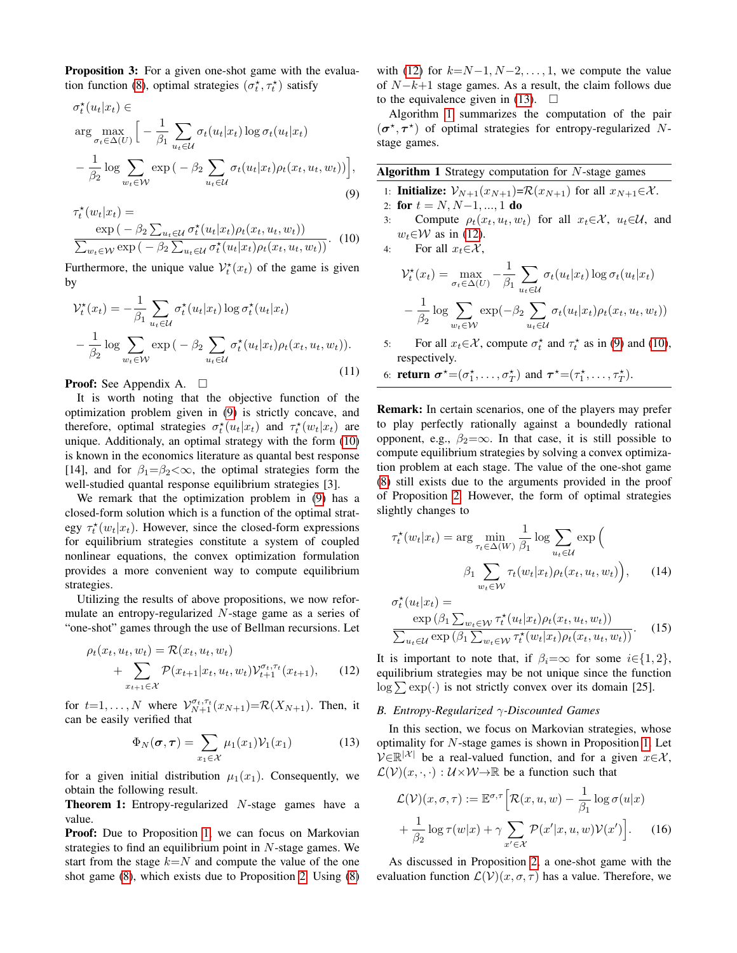Proposition 3: For a given one-shot game with the evalua-tion function [\(8\)](#page-2-1), optimal strategies  $(\sigma_t^*, \tau_t^*)$  satisfy

$$
\sigma_t^{\star}(u_t|x_t) \in \arg \max_{\sigma_t \in \Delta(U)} \Big[ -\frac{1}{\beta_1} \sum_{u_t \in \mathcal{U}} \sigma_t(u_t|x_t) \log \sigma_t(u_t|x_t) -\frac{1}{\beta_2} \log \sum_{w_t \in \mathcal{W}} \exp(-\beta_2 \sum_{u_t \in \mathcal{U}} \sigma_t(u_t|x_t) \rho_t(x_t, u_t, w_t)) \Big],
$$
\n(9)

$$
\tau_t^{\star}(w_t|x_t) = \frac{\exp(-\beta_2 \sum_{u_t \in \mathcal{U}} \sigma_t^{\star}(u_t|x_t)\rho_t(x_t, u_t, w_t))}{\sum_{w_t \in \mathcal{W}} \exp(-\beta_2 \sum_{u_t \in \mathcal{U}} \sigma_t^{\star}(u_t|x_t)\rho_t(x_t, u_t, w_t))}.
$$
 (10)

Furthermore, the unique value  $\mathcal{V}_t^*(x_t)$  of the game is given by

$$
\mathcal{V}_t^{\star}(x_t) = -\frac{1}{\beta_1} \sum_{u_t \in \mathcal{U}} \sigma_t^{\star}(u_t|x_t) \log \sigma_t^{\star}(u_t|x_t)
$$

$$
-\frac{1}{\beta_2} \log \sum_{w_t \in \mathcal{W}} \exp(-\beta_2 \sum_{u_t \in \mathcal{U}} \sigma_t^{\star}(u_t|x_t) \rho_t(x_t, u_t, w_t)).
$$
(11)

**Proof:** See Appendix A.  $\Box$ 

It is worth noting that the objective function of the optimization problem given in [\(9\)](#page-3-0) is strictly concave, and therefore, optimal strategies  $\sigma_t^*(u_t|x_t)$  and  $\tau_t^*(w_t|x_t)$  are unique. Additionaly, an optimal strategy with the form [\(10\)](#page-3-1) is known in the economics literature as quantal best response [14], and for  $\beta_1 = \beta_2 < \infty$ , the optimal strategies form the well-studied quantal response equilibrium strategies [3].

We remark that the optimization problem in [\(9\)](#page-3-0) has a closed-form solution which is a function of the optimal strategy  $\tau_t^*(w_t|x_t)$ . However, since the closed-form expressions for equilibrium strategies constitute a system of coupled nonlinear equations, the convex optimization formulation provides a more convenient way to compute equilibrium strategies.

Utilizing the results of above propositions, we now reformulate an entropy-regularized N-stage game as a series of "one-shot" games through the use of Bellman recursions. Let

$$
\rho_t(x_t, u_t, w_t) = \mathcal{R}(x_t, u_t, w_t) + \sum_{x_{t+1} \in \mathcal{X}} \mathcal{P}(x_{t+1}|x_t, u_t, w_t) \mathcal{V}_{t+1}^{\sigma_t, \tau_t}(x_{t+1}),
$$
(12)

for  $t=1,\ldots,N$  where  $\mathcal{V}_{N+1}^{\sigma_t,\tau_t}(x_{N+1})=\mathcal{R}(X_{N+1})$ . Then, it can be easily verified that

$$
\Phi_N(\boldsymbol{\sigma}, \boldsymbol{\tau}) = \sum_{x_1 \in \mathcal{X}} \mu_1(x_1) \mathcal{V}_1(x_1) \tag{13}
$$

for a given initial distribution  $\mu_1(x_1)$ . Consequently, we obtain the following result.

Theorem 1: Entropy-regularized N-stage games have a value.

Proof: Due to Proposition [1,](#page-2-2) we can focus on Markovian strategies to find an equilibrium point in  $N$ -stage games. We start from the stage  $k=N$  and compute the value of the one shot game [\(8\)](#page-2-1), which exists due to Proposition [2.](#page-2-3) Using [\(8\)](#page-2-1) with [\(12\)](#page-3-2) for  $k=N-1, N-2, \ldots, 1$ , we compute the value of  $N-k+1$  stage games. As a result, the claim follows due to the equivalence given in [\(13\)](#page-3-3).  $\Box$ 

Algorithm [1](#page-3-4) summarizes the computation of the pair  $(\sigma^*, \tau^*)$  of optimal strategies for entropy-regularized Nstage games.

<span id="page-3-4"></span><span id="page-3-0"></span>

|  |  |  |  |  |  | Algorithm 1 Strategy computation for $N$ -stage games |
|--|--|--|--|--|--|-------------------------------------------------------|
|--|--|--|--|--|--|-------------------------------------------------------|

- 1: **Initialize:**  $\mathcal{V}_{N+1}(x_{N+1})=\mathcal{R}(x_{N+1})$  for all  $x_{N+1}\in\mathcal{X}$ .
- 2: for  $t = N, N-1, ..., 1$  do
- <span id="page-3-1"></span>3: Compute  $\rho_t(x_t, u_t, w_t)$  for all  $x_t \in \mathcal{X}$ ,  $u_t \in \mathcal{U}$ , and  $w_t \in W$  as in [\(12\)](#page-3-2).

4: For all  $x_t \in \mathcal{X}$ ,

$$
\mathcal{V}_t^{\star}(x_t) = \max_{\sigma_t \in \Delta(U)} -\frac{1}{\beta_1} \sum_{u_t \in \mathcal{U}} \sigma_t(u_t|x_t) \log \sigma_t(u_t|x_t)
$$

$$
-\frac{1}{\beta_2} \log \sum_{w_t \in \mathcal{W}} \exp(-\beta_2 \sum_{u_t \in \mathcal{U}} \sigma_t(u_t|x_t) \rho_t(x_t, u_t, w_t))
$$

5: For all  $x_t \in \mathcal{X}$ , compute  $\sigma_t^*$  and  $\tau_t^*$  as in [\(9\)](#page-3-0) and [\(10\)](#page-3-1), respectively.

<span id="page-3-5"></span>6: **return**  $\sigma^* = (\sigma_1^*, \ldots, \sigma_T^*)$  and  $\tau^* = (\tau_1^*, \ldots, \tau_T^*)$ .

Remark: In certain scenarios, one of the players may prefer to play perfectly rationally against a boundedly rational opponent, e.g.,  $\beta_2 = \infty$ . In that case, it is still possible to compute equilibrium strategies by solving a convex optimization problem at each stage. The value of the one-shot game [\(8\)](#page-2-1) still exists due to the arguments provided in the proof of Proposition [2.](#page-2-3) However, the form of optimal strategies slightly changes to

$$
\tau_t^{\star}(w_t|x_t) = \arg \min_{\tau_t \in \Delta(W)} \frac{1}{\beta_1} \log \sum_{u_t \in \mathcal{U}} \exp \Big( \sum_{u_t \in \mathcal{U}} \tau_t(w_t|x_t) \rho_t(x_t, u_t, w_t) \Big), \qquad (14)
$$

$$
\sigma_t^{\star}(u_t|x_t) = \exp\left(\beta_1 \sum_{w_t \in \mathcal{W}} \tau_t^{\star}(u_t|x_t) \rho_t(x_t, u_t, w_t)\right) \over \sum_{u_t \in \mathcal{U}} \exp\left(\beta_1 \sum_{w_t \in \mathcal{W}} \tau_t^{\star}(w_t|x_t) \rho_t(x_t, u_t, w_t)\right).
$$
(15)

<span id="page-3-2"></span>It is important to note that, if  $\beta_i = \infty$  for some  $i \in \{1, 2\}$ , equilibrium strategies may be not unique since the function  $\log \sum \exp(\cdot)$  is not strictly convex over its domain [25].

# *B. Entropy-Regularized* γ*-Discounted Games*

<span id="page-3-3"></span>In this section, we focus on Markovian strategies, whose optimality for N-stage games is shown in Proposition [1.](#page-2-2) Let  $\mathcal{V} \in \mathbb{R}^{|\mathcal{X}|}$  be a real-valued function, and for a given  $x \in \mathcal{X}$ ,  $\mathcal{L}(\mathcal{V})(x, \cdot, \cdot) : \mathcal{U} \times \mathcal{W} \rightarrow \mathbb{R}$  be a function such that

$$
\mathcal{L}(\mathcal{V})(x,\sigma,\tau) := \mathbb{E}^{\sigma,\tau} \Big[ \mathcal{R}(x,u,w) - \frac{1}{\beta_1} \log \sigma(u|x) + \frac{1}{\beta_2} \log \tau(w|x) + \gamma \sum_{x' \in \mathcal{X}} \mathcal{P}(x'|x,u,w) \mathcal{V}(x') \Big].
$$
 (16)

As discussed in Proposition [2,](#page-2-3) a one-shot game with the evaluation function  $\mathcal{L}(\mathcal{V})(x, \sigma, \tau)$  has a value. Therefore, we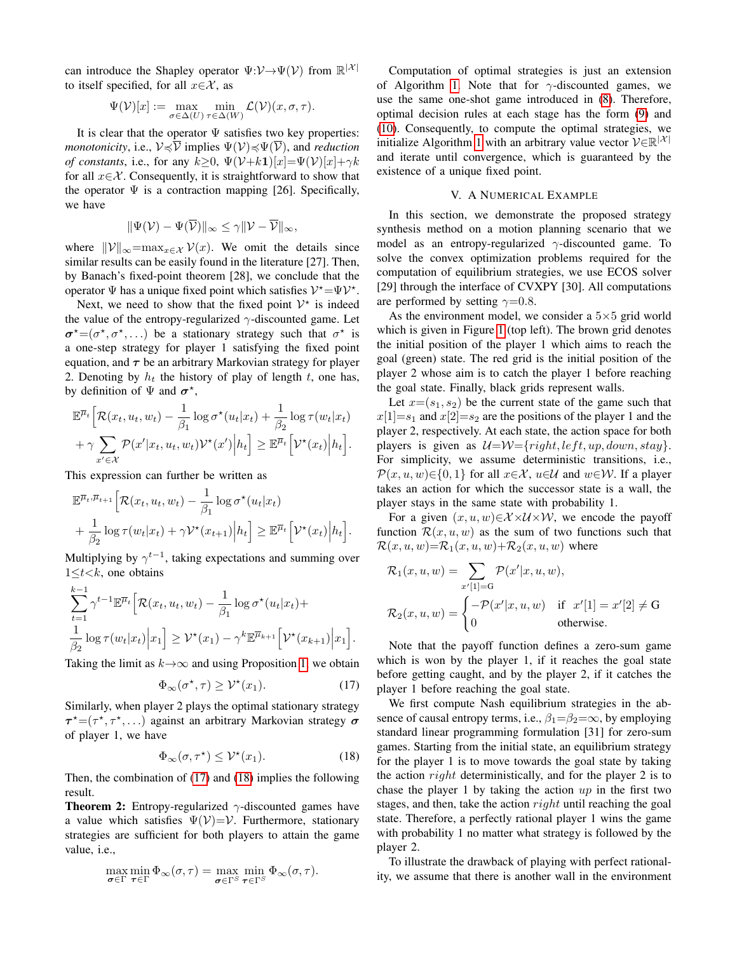can introduce the Shapley operator  $\Psi: \mathcal{V} \to \Psi(\mathcal{V})$  from  $\mathbb{R}^{|\mathcal{X}|}$ to itself specified, for all  $x \in \mathcal{X}$ , as

$$
\Psi(\mathcal{V})[x]:=\max_{\sigma\in\Delta(U)}\min_{\tau\in\Delta(W)}\mathcal{L}(\mathcal{V})(x,\sigma,\tau).
$$

It is clear that the operator  $\Psi$  satisfies two key properties: *monotonicity*, i.e.,  $V \preccurlyeq \overline{V}$  implies  $\Psi(V) \preccurlyeq \Psi(\overline{V})$ , and *reduction of constants*, i.e., for any  $k > 0$ ,  $\Psi(\mathcal{V}+k\mathbf{1})[x] = \Psi(\mathcal{V})[x] + \gamma k$ for all  $x \in \mathcal{X}$ . Consequently, it is straightforward to show that the operator  $\Psi$  is a contraction mapping [26]. Specifically, we have

$$
\|\Psi(\mathcal{V}) - \Psi(\overline{\mathcal{V}})\|_{\infty} \leq \gamma \|\mathcal{V} - \overline{\mathcal{V}}\|_{\infty},
$$

where  $||\mathcal{V}||_{\infty} = \max_{x \in \mathcal{X}} \mathcal{V}(x)$ . We omit the details since similar results can be easily found in the literature [27]. Then, by Banach's fixed-point theorem [28], we conclude that the operator  $\Psi$  has a unique fixed point which satisfies  $V^* = \Psi V^*$ .

Next, we need to show that the fixed point  $V^*$  is indeed the value of the entropy-regularized  $\gamma$ -discounted game. Let  $\sigma^* = (\sigma^*, \sigma^*, \dots)$  be a stationary strategy such that  $\sigma^*$  is a one-step strategy for player 1 satisfying the fixed point equation, and  $\tau$  be an arbitrary Markovian strategy for player 2. Denoting by  $h_t$  the history of play of length  $t$ , one has, by definition of  $\Psi$  and  $\sigma^*$ ,

$$
\mathbb{E}^{\overline{\mu}_t} \Big[ \mathcal{R}(x_t, u_t, w_t) - \frac{1}{\beta_1} \log \sigma^{\star}(u_t | x_t) + \frac{1}{\beta_2} \log \tau(w_t | x_t) + \gamma \sum_{x' \in \mathcal{X}} \mathcal{P}(x' | x_t, u_t, w_t) \mathcal{V}^{\star}(x') \Big| h_t \Big] \geq \mathbb{E}^{\overline{\mu}_t} \Big[ \mathcal{V}^{\star}(x_t) \Big| h_t \Big].
$$

This expression can further be written as

$$
\mathbb{E}^{\overline{\mu}_t, \overline{\mu}_{t+1}} \Big[ \mathcal{R}(x_t, u_t, w_t) - \frac{1}{\beta_1} \log \sigma^{\star}(u_t | x_t) + \frac{1}{\beta_2} \log \tau(w_t | x_t) + \gamma \mathcal{V}^{\star}(x_{t+1}) \Big| h_t \Big] \geq \mathbb{E}^{\overline{\mu}_t} \Big[ \mathcal{V}^{\star}(x_t) \Big| h_t \Big].
$$

Multiplying by  $\gamma^{t-1}$ , taking expectations and summing over  $1 \leq t \leq k$ , one obtains

$$
\sum_{t=1}^{k-1} \gamma^{t-1} \mathbb{E}^{\overline{\mu}_t} \Big[ \mathcal{R}(x_t, u_t, w_t) - \frac{1}{\beta_1} \log \sigma^{\star}(u_t | x_t) + \frac{1}{\beta_2} \log \tau(w_t | x_t) \Big| x_1 \Big] \geq \mathcal{V}^{\star}(x_1) - \gamma^k \mathbb{E}^{\overline{\mu}_{k+1}} \Big[ \mathcal{V}^{\star}(x_{k+1}) \Big| x_1 \Big].
$$

Taking the limit as  $k \rightarrow \infty$  and using Proposition [1,](#page-2-2) we obtain

$$
\Phi_{\infty}(\sigma^*, \tau) \ge \mathcal{V}^*(x_1). \tag{17}
$$

Similarly, when player 2 plays the optimal stationary strategy  $\tau^* = (\tau^*, \tau^*, \dots)$  against an arbitrary Markovian strategy  $\sigma$ of player 1, we have

$$
\Phi_{\infty}(\sigma, \tau^{\star}) \le \mathcal{V}^{\star}(x_1). \tag{18}
$$

Then, the combination of [\(17\)](#page-4-0) and [\(18\)](#page-4-1) implies the following result.

**Theorem 2:** Entropy-regularized  $\gamma$ -discounted games have a value which satisfies  $\Psi(\mathcal{V}) = \mathcal{V}$ . Furthermore, stationary strategies are sufficient for both players to attain the game value, i.e.,

$$
\max_{\sigma \in \Gamma} \min_{\tau \in \Gamma} \Phi_{\infty}(\sigma, \tau) = \max_{\sigma \in \Gamma^S} \min_{\tau \in \Gamma^S} \Phi_{\infty}(\sigma, \tau).
$$

Computation of optimal strategies is just an extension of Algorithm [1.](#page-3-4) Note that for  $\gamma$ -discounted games, we use the same one-shot game introduced in [\(8\)](#page-2-1). Therefore, optimal decision rules at each stage has the form [\(9\)](#page-3-0) and [\(10\)](#page-3-1). Consequently, to compute the optimal strategies, we initialize Algorithm [1](#page-3-4) with an arbitrary value vector  $V \in \mathbb{R}^{|\mathcal{X}|}$ and iterate until convergence, which is guaranteed by the existence of a unique fixed point.

# V. A NUMERICAL EXAMPLE

In this section, we demonstrate the proposed strategy synthesis method on a motion planning scenario that we model as an entropy-regularized  $\gamma$ -discounted game. To solve the convex optimization problems required for the computation of equilibrium strategies, we use ECOS solver [29] through the interface of CVXPY [30]. All computations are performed by setting  $\gamma=0.8$ .

As the environment model, we consider a  $5\times 5$  grid world which is given in Figure [1](#page-5-0) (top left). The brown grid denotes the initial position of the player 1 which aims to reach the goal (green) state. The red grid is the initial position of the player 2 whose aim is to catch the player 1 before reaching the goal state. Finally, black grids represent walls.

Let  $x=(s_1, s_2)$  be the current state of the game such that  $x[1]=s_1$  and  $x[2]=s_2$  are the positions of the player 1 and the player 2, respectively. At each state, the action space for both players is given as  $U=W=\{right, left, up, down, stay\}.$ For simplicity, we assume deterministic transitions, i.e.,  $\mathcal{P}(x, u, w) \in \{0, 1\}$  for all  $x \in \mathcal{X}$ ,  $u \in \mathcal{U}$  and  $w \in \mathcal{W}$ . If a player takes an action for which the successor state is a wall, the player stays in the same state with probability 1.

For a given  $(x, u, w) \in \mathcal{X} \times \mathcal{U} \times \mathcal{W}$ , we encode the payoff function  $\mathcal{R}(x, u, w)$  as the sum of two functions such that  $\mathcal{R}(x, u, w) = \mathcal{R}_1(x, u, w) + \mathcal{R}_2(x, u, w)$  where

$$
\mathcal{R}_1(x, u, w) = \sum_{x'[1]=G} \mathcal{P}(x'|x, u, w),
$$
  

$$
\mathcal{R}_2(x, u, w) = \begin{cases} -\mathcal{P}(x'|x, u, w) & \text{if } x'[1] = x'[2] \neq G \\ 0 & \text{otherwise.} \end{cases}
$$

Note that the payoff function defines a zero-sum game which is won by the player 1, if it reaches the goal state before getting caught, and by the player 2, if it catches the player 1 before reaching the goal state.

<span id="page-4-1"></span><span id="page-4-0"></span>We first compute Nash equilibrium strategies in the absence of causal entropy terms, i.e.,  $\beta_1 = \beta_2 = \infty$ , by employing standard linear programming formulation [31] for zero-sum games. Starting from the initial state, an equilibrium strategy for the player 1 is to move towards the goal state by taking the action  $right$  deterministically, and for the player 2 is to chase the player 1 by taking the action  $up$  in the first two stages, and then, take the action  $right$  until reaching the goal state. Therefore, a perfectly rational player 1 wins the game with probability 1 no matter what strategy is followed by the player 2.

To illustrate the drawback of playing with perfect rationality, we assume that there is another wall in the environment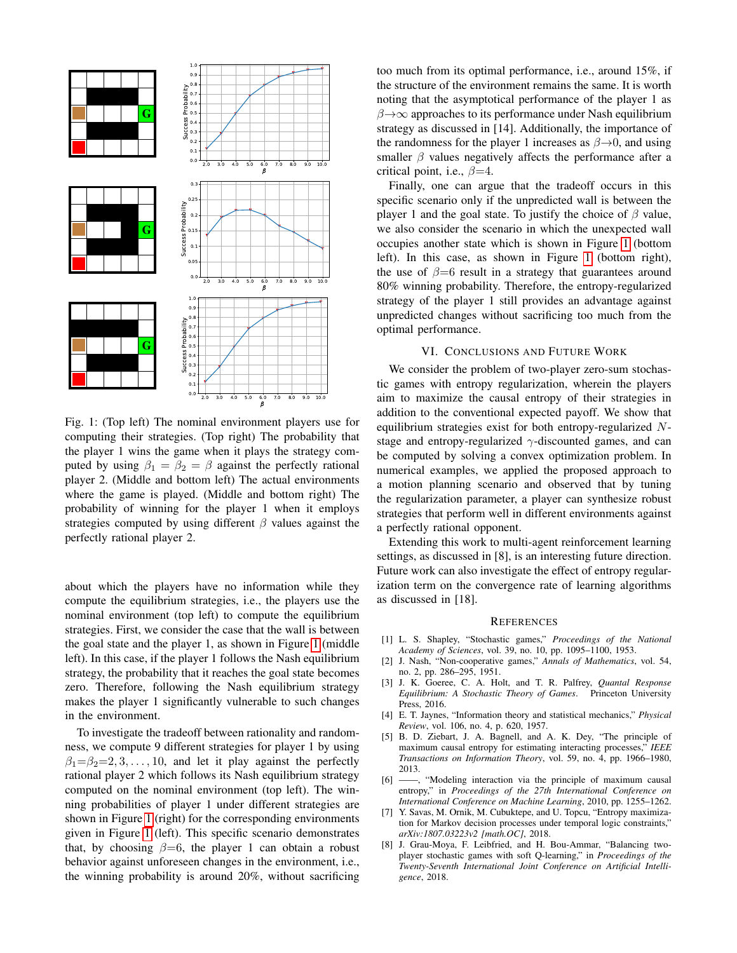<span id="page-5-0"></span>

Fig. 1: (Top left) The nominal environment players use for computing their strategies. (Top right) The probability that the player 1 wins the game when it plays the strategy computed by using  $\beta_1 = \beta_2 = \beta$  against the perfectly rational player 2. (Middle and bottom left) The actual environments where the game is played. (Middle and bottom right) The probability of winning for the player 1 when it employs strategies computed by using different  $\beta$  values against the perfectly rational player 2.

about which the players have no information while they compute the equilibrium strategies, i.e., the players use the nominal environment (top left) to compute the equilibrium strategies. First, we consider the case that the wall is between the goal state and the player 1, as shown in Figure [1](#page-5-0) (middle left). In this case, if the player 1 follows the Nash equilibrium strategy, the probability that it reaches the goal state becomes zero. Therefore, following the Nash equilibrium strategy makes the player 1 significantly vulnerable to such changes in the environment.

To investigate the tradeoff between rationality and randomness, we compute 9 different strategies for player 1 by using  $\beta_1=\beta_2=2,3,\ldots,10$ , and let it play against the perfectly rational player 2 which follows its Nash equilibrium strategy computed on the nominal environment (top left). The winning probabilities of player 1 under different strategies are shown in Figure [1](#page-5-0) (right) for the corresponding environments given in Figure [1](#page-5-0) (left). This specific scenario demonstrates that, by choosing  $\beta=6$ , the player 1 can obtain a robust behavior against unforeseen changes in the environment, i.e., the winning probability is around 20%, without sacrificing

too much from its optimal performance, i.e., around 15%, if the structure of the environment remains the same. It is worth noting that the asymptotical performance of the player 1 as  $\beta \rightarrow \infty$  approaches to its performance under Nash equilibrium strategy as discussed in [14]. Additionally, the importance of the randomness for the player 1 increases as  $\beta \rightarrow 0$ , and using smaller  $\beta$  values negatively affects the performance after a critical point, i.e.,  $\beta = 4$ .

Finally, one can argue that the tradeoff occurs in this specific scenario only if the unpredicted wall is between the player 1 and the goal state. To justify the choice of  $\beta$  value, we also consider the scenario in which the unexpected wall occupies another state which is shown in Figure [1](#page-5-0) (bottom left). In this case, as shown in Figure [1](#page-5-0) (bottom right), the use of  $\beta=6$  result in a strategy that guarantees around 80% winning probability. Therefore, the entropy-regularized strategy of the player 1 still provides an advantage against unpredicted changes without sacrificing too much from the optimal performance.

# VI. CONCLUSIONS AND FUTURE WORK

We consider the problem of two-player zero-sum stochastic games with entropy regularization, wherein the players aim to maximize the causal entropy of their strategies in addition to the conventional expected payoff. We show that equilibrium strategies exist for both entropy-regularized Nstage and entropy-regularized  $\gamma$ -discounted games, and can be computed by solving a convex optimization problem. In numerical examples, we applied the proposed approach to a motion planning scenario and observed that by tuning the regularization parameter, a player can synthesize robust strategies that perform well in different environments against a perfectly rational opponent.

Extending this work to multi-agent reinforcement learning settings, as discussed in [8], is an interesting future direction. Future work can also investigate the effect of entropy regularization term on the convergence rate of learning algorithms as discussed in [18].

#### **REFERENCES**

- [1] L. S. Shapley, "Stochastic games," *Proceedings of the National Academy of Sciences*, vol. 39, no. 10, pp. 1095–1100, 1953.
- [2] J. Nash, "Non-cooperative games," *Annals of Mathematics*, vol. 54, no. 2, pp. 286–295, 1951.
- [3] J. K. Goeree, C. A. Holt, and T. R. Palfrey, *Quantal Response Equilibrium: A Stochastic Theory of Games*. Princeton University Press, 2016.
- [4] E. T. Jaynes, "Information theory and statistical mechanics," *Physical Review*, vol. 106, no. 4, p. 620, 1957.
- [5] B. D. Ziebart, J. A. Bagnell, and A. K. Dey, "The principle of maximum causal entropy for estimating interacting processes," *IEEE Transactions on Information Theory*, vol. 59, no. 4, pp. 1966–1980, 2013.
- [6] ——, "Modeling interaction via the principle of maximum causal entropy," in *Proceedings of the 27th International Conference on International Conference on Machine Learning*, 2010, pp. 1255–1262.
- [7] Y. Savas, M. Ornik, M. Cubuktepe, and U. Topcu, "Entropy maximization for Markov decision processes under temporal logic constraints," *arXiv:1807.03223v2 [math.OC]*, 2018.
- [8] J. Grau-Moya, F. Leibfried, and H. Bou-Ammar, "Balancing twoplayer stochastic games with soft Q-learning," in *Proceedings of the Twenty-Seventh International Joint Conference on Artificial Intelligence*, 2018.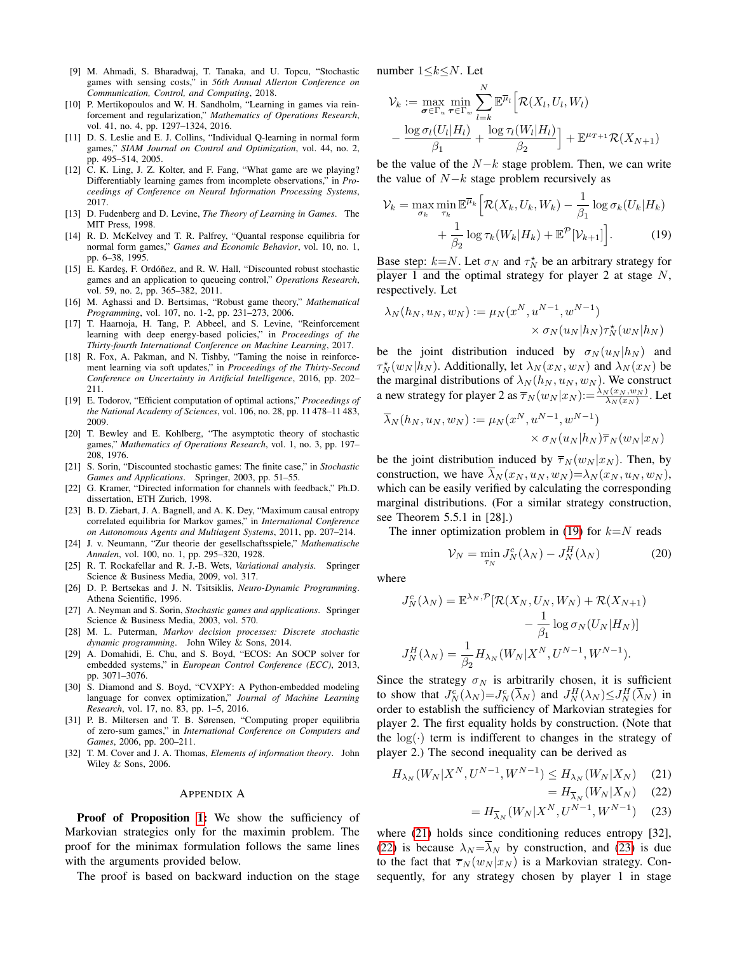- [9] M. Ahmadi, S. Bharadwaj, T. Tanaka, and U. Topcu, "Stochastic games with sensing costs," in *56th Annual Allerton Conference on Communication, Control, and Computing*, 2018.
- [10] P. Mertikopoulos and W. H. Sandholm, "Learning in games via reinforcement and regularization," *Mathematics of Operations Research*, vol. 41, no. 4, pp. 1297–1324, 2016.
- [11] D. S. Leslie and E. J. Collins, "Individual Q-learning in normal form games," *SIAM Journal on Control and Optimization*, vol. 44, no. 2, pp. 495–514, 2005.
- [12] C. K. Ling, J. Z. Kolter, and F. Fang, "What game are we playing? Differentiably learning games from incomplete observations," in *Proceedings of Conference on Neural Information Processing Systems*, 2017.
- [13] D. Fudenberg and D. Levine, *The Theory of Learning in Games*. The MIT Press, 1998.
- [14] R. D. McKelvey and T. R. Palfrey, "Quantal response equilibria for normal form games," *Games and Economic Behavior*, vol. 10, no. 1, pp. 6–38, 1995.
- [15] E. Kardeş, F. Ordóñez, and R. W. Hall, "Discounted robust stochastic games and an application to queueing control," *Operations Research*, vol. 59, no. 2, pp. 365–382, 2011.
- [16] M. Aghassi and D. Bertsimas, "Robust game theory," *Mathematical Programming*, vol. 107, no. 1-2, pp. 231–273, 2006.
- [17] T. Haarnoja, H. Tang, P. Abbeel, and S. Levine, "Reinforcement learning with deep energy-based policies," in *Proceedings of the Thirty-fourth International Conference on Machine Learning*, 2017.
- [18] R. Fox, A. Pakman, and N. Tishby, "Taming the noise in reinforcement learning via soft updates," in *Proceedings of the Thirty-Second Conference on Uncertainty in Artificial Intelligence*, 2016, pp. 202– 211.
- [19] E. Todorov, "Efficient computation of optimal actions," *Proceedings of the National Academy of Sciences*, vol. 106, no. 28, pp. 11 478–11 483, 2009.
- [20] T. Bewley and E. Kohlberg, "The asymptotic theory of stochastic games," *Mathematics of Operations Research*, vol. 1, no. 3, pp. 197– 208, 1976.
- [21] S. Sorin, "Discounted stochastic games: The finite case," in *Stochastic Games and Applications*. Springer, 2003, pp. 51–55.
- [22] G. Kramer, "Directed information for channels with feedback," Ph.D. dissertation, ETH Zurich, 1998.
- [23] B. D. Ziebart, J. A. Bagnell, and A. K. Dey, "Maximum causal entropy correlated equilibria for Markov games," in *International Conference on Autonomous Agents and Multiagent Systems*, 2011, pp. 207–214.
- [24] J. v. Neumann, "Zur theorie der gesellschaftsspiele," *Mathematische Annalen*, vol. 100, no. 1, pp. 295–320, 1928.
- [25] R. T. Rockafellar and R. J.-B. Wets, *Variational analysis*. Springer Science & Business Media, 2009, vol. 317.
- [26] D. P. Bertsekas and J. N. Tsitsiklis, *Neuro-Dynamic Programming*. Athena Scientific, 1996.
- [27] A. Neyman and S. Sorin, *Stochastic games and applications*. Springer Science & Business Media, 2003, vol. 570.
- [28] M. L. Puterman, *Markov decision processes: Discrete stochastic dynamic programming*. John Wiley & Sons, 2014.
- [29] A. Domahidi, E. Chu, and S. Boyd, "ECOS: An SOCP solver for embedded systems," in *European Control Conference (ECC)*, 2013, pp. 3071–3076.
- [30] S. Diamond and S. Boyd, "CVXPY: A Python-embedded modeling language for convex optimization," *Journal of Machine Learning Research*, vol. 17, no. 83, pp. 1–5, 2016.
- [31] P. B. Miltersen and T. B. Sørensen, "Computing proper equilibria of zero-sum games," in *International Conference on Computers and Games*, 2006, pp. 200–211.
- [32] T. M. Cover and J. A. Thomas, *Elements of information theory*. John Wiley & Sons, 2006.

#### APPENDIX A

Proof of Proposition [1:](#page-2-2) We show the sufficiency of Markovian strategies only for the maximin problem. The proof for the minimax formulation follows the same lines with the arguments provided below.

The proof is based on backward induction on the stage

number  $1 \leq k \leq N$ . Let

$$
\mathcal{V}_k := \max_{\boldsymbol{\sigma} \in \Gamma_u} \min_{\boldsymbol{\tau} \in \Gamma_w} \sum_{l=k}^N \mathbb{E}^{\overline{\mu}_l} \left[ \mathcal{R}(X_l, U_l, W_l) - \frac{\log \sigma_l(U_l|H_l)}{\beta_1} + \frac{\log \tau_l(W_l|H_l)}{\beta_2} \right] + \mathbb{E}^{\mu \tau + 1} \mathcal{R}(X_{N+1})
$$

be the value of the  $N-k$  stage problem. Then, we can write the value of  $N-k$  stage problem recursively as

<span id="page-6-0"></span>
$$
\mathcal{V}_k = \max_{\sigma_k} \min_{\tau_k} \mathbb{E}^{\overline{\mu}_k} \Big[ \mathcal{R}(X_k, U_k, W_k) - \frac{1}{\beta_1} \log \sigma_k(U_k | H_k) + \frac{1}{\beta_2} \log \tau_k(W_k | H_k) + \mathbb{E}^{\mathcal{P}}[\mathcal{V}_{k+1}] \Big]. \tag{19}
$$

Base step:  $k=N$ . Let  $\sigma_N$  and  $\tau_N^*$  be an arbitrary strategy for player 1 and the optimal strategy for player 2 at stage  $N$ , respectively. Let

$$
\lambda_N(h_N, u_N, w_N) := \mu_N(x^N, u^{N-1}, w^{N-1})
$$
  
 
$$
\times \sigma_N(u_N|h_N)\tau_N^*(w_N|h_N)
$$

be the joint distribution induced by  $\sigma_N(u_N|h_N)$  and  $\tau_N^{\star}(w_N|h_N)$ . Additionally, let  $\lambda_N(x_N, w_N)$  and  $\lambda_N(x_N)$  be the marginal distributions of  $\lambda_N(h_N, u_N, w_N)$ . We construct a new strategy for player 2 as  $\overline{\tau}_N(w_N|x_N) := \frac{\lambda_N(x_N, w_N)}{\lambda_N(x_N)}$ . Let

$$
\overline{\lambda}_N(h_N, u_N, w_N) := \mu_N(x^N, u^{N-1}, w^{N-1})
$$
  
 
$$
\times \sigma_N(u_N|h_N)\overline{\tau}_N(w_N|x_N)
$$

be the joint distribution induced by  $\overline{\tau}_N(w_N | x_N)$ . Then, by construction, we have  $\lambda_N(x_N, u_N, w_N) = \lambda_N(x_N, u_N, w_N)$ , which can be easily verified by calculating the corresponding marginal distributions. (For a similar strategy construction, see Theorem 5.5.1 in [28].)

The inner optimization problem in [\(19\)](#page-6-0) for  $k=N$  reads

$$
\mathcal{V}_N = \min_{\tau_N} J_N^c(\lambda_N) - J_N^H(\lambda_N) \tag{20}
$$

where

$$
J_N^c(\lambda_N) = \mathbb{E}^{\lambda_N, \mathcal{P}}[\mathcal{R}(X_N, U_N, W_N) + \mathcal{R}(X_{N+1}) - \frac{1}{\beta_1} \log \sigma_N(U_N|H_N)]
$$

$$
J_N^H(\lambda_N) = \frac{1}{\beta_2} H_{\lambda_N}(W_N|X^N, U^{N-1}, W^{N-1}).
$$

Since the strategy  $\sigma_N$  is arbitrarily chosen, it is sufficient to show that  $J_N^c(\lambda_N)=J_N^c(\overline{\lambda}_N)$  and  $J_N^H(\lambda_N)\leq J_N^H(\overline{\lambda}_N)$  in order to establish the sufficiency of Markovian strategies for player 2. The first equality holds by construction. (Note that the  $log(·)$  term is indifferent to changes in the strategy of player 2.) The second inequality can be derived as

$$
H_{\lambda_N}(W_N|X^N, U^{N-1}, W^{N-1}) \le H_{\lambda_N}(W_N|X_N) \tag{21}
$$

<span id="page-6-3"></span><span id="page-6-2"></span><span id="page-6-1"></span>
$$
=H_{\overline{\lambda}_N}(W_N|X_N) \quad (22)
$$

$$
=H_{\overline{\lambda}_N}(W_N|X^N, U^{N-1}, W^{N-1})
$$
 (23)

where [\(21\)](#page-6-1) holds since conditioning reduces entropy [32], [\(22\)](#page-6-2) is because  $\lambda_N = \overline{\lambda}_N$  by construction, and [\(23\)](#page-6-3) is due to the fact that  $\overline{\tau}_N(w_N | x_N)$  is a Markovian strategy. Consequently, for any strategy chosen by player 1 in stage